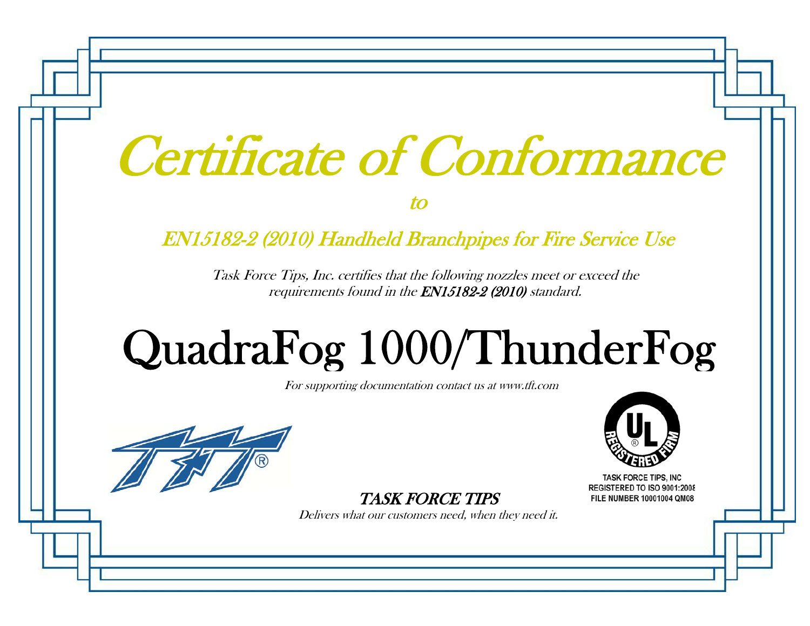|  | Certificate of Conformance |
|--|----------------------------|
|  |                            |

to

### EN15182-2 (2010) Handheld Branchpipes for Fire Service Use

Task Force Tips, Inc. certifies that the following nozzles meet or exceed the requirements found in the EN15182-2 (2010) standard.

# QuadraFo g 1000/ThunderFo g

For supporting documentation contact us at www.tft.com



TASK FORCE TIPS

Delivers what our customers need, when they need it.



**TASK FORCE TIPS, INC REGISTERED TO ISO 9001:2008** FILE NUMBER 10001004 QM08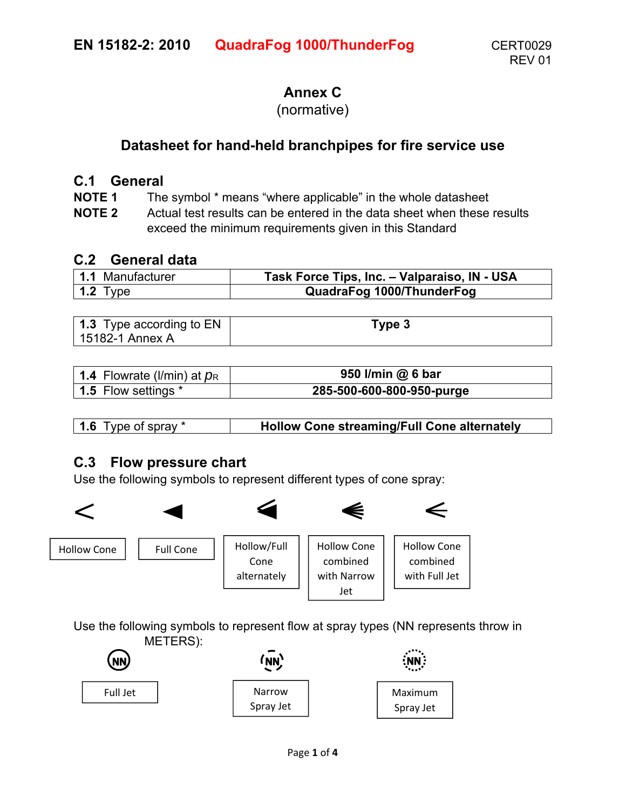#### **Annex C**

#### (normative)

#### **Datasheet for hand-held branchpipes for fire service use**

#### **C.1 General**

**NOTE 1** The symbol \* means "where applicable" in the whole datasheet

**NOTE 2** Actual test results can be entered in the data sheet when these results exceed the minimum requirements given in this Standard

#### **C.2 General data**

| 1.1 Manufacturer | Task Force Tips, Inc. - Valparaiso, IN - USA |
|------------------|----------------------------------------------|
| 1.2 Type         | QuadraFog 1000/ThunderFog                    |

| <b>1.3</b> Type according to EN | Гуре 3 |
|---------------------------------|--------|
| 15182-1 Annex A                 |        |

| 1.4 Flowrate (I/min) at $p_R$ | 950 I/min @ 6 bar         |
|-------------------------------|---------------------------|
| 1.5 Flow settings *           | 285-500-600-800-950-purge |

| <b>1.6</b> Type of spray * | <b>Hollow Cone streaming/Full Cone alternately</b> |
|----------------------------|----------------------------------------------------|
|                            |                                                    |

#### **C.3 Flow pressure chart**

Use the following symbols to represent different types of cone spray:



Use the following symbols to represent flow at spray types (NN represents throw in METERS):

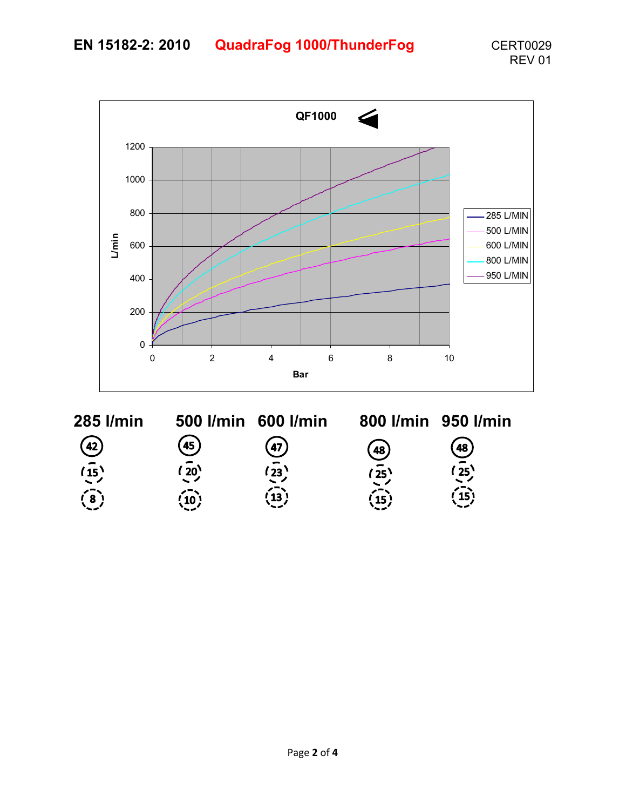

 $\circled{45}$  $\frac{1}{20}$  $\overline{10}$ 

 $\frac{47}{23}$  $\left(\frac{1}{3}\right)$ 

 $\overline{48}$ <br> $\overline{25}$ <br> $\overline{15}$ <br> $\overline{15}$ 

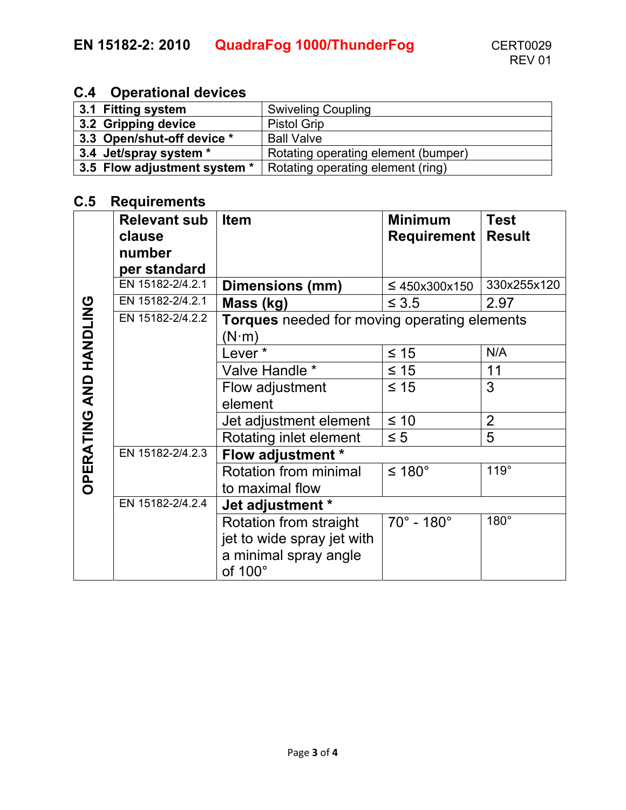#### **C.4 Operational devices**

| 3.1 Fitting system           | <b>Swiveling Coupling</b>           |
|------------------------------|-------------------------------------|
| 3.2 Gripping device          | <b>Pistol Grip</b>                  |
| 3.3 Open/shut-off device *   | <b>Ball Valve</b>                   |
| 3.4 Jet/spray system *       | Rotating operating element (bumper) |
| 3.5 Flow adjustment system * | Rotating operating element (ring)   |

#### **C.5 Requirements**

|                               | <b>Relevant sub</b> | <b>Item</b>                                         | <b>Minimum</b>           | <b>Test</b>    |
|-------------------------------|---------------------|-----------------------------------------------------|--------------------------|----------------|
|                               | clause              |                                                     | Requirement              | <b>Result</b>  |
|                               | number              |                                                     |                          |                |
|                               | per standard        |                                                     |                          |                |
|                               | EN 15182-2/4.2.1    | Dimensions (mm)                                     | $\leq 450x300x150$       | 330x255x120    |
|                               | EN 15182-2/4.2.1    | Mass (kg)                                           | $\leq 3.5$               | 2.97           |
|                               | EN 15182-2/4.2.2    | <b>Torques</b> needed for moving operating elements |                          |                |
|                               |                     | $(N\!\cdot\!m)$                                     |                          |                |
|                               |                     | Lever*                                              | $\leq 15$                | N/A            |
|                               |                     | Valve Handle *                                      | $\leq 15$                | 11             |
| <b>OPERATING AND HANDLING</b> |                     | Flow adjustment                                     | $\leq 15$                | 3              |
|                               |                     | element                                             |                          |                |
|                               |                     | Jet adjustment element                              | $\leq 10$                | $\overline{2}$ |
|                               |                     | Rotating inlet element                              | $\leq 5$                 | 5              |
|                               | EN 15182-2/4.2.3    | Flow adjustment *                                   |                          |                |
|                               |                     | Rotation from minimal                               | ≤ 180°                   | 119°           |
|                               |                     | to maximal flow                                     |                          |                |
|                               | EN 15182-2/4.2.4    | Jet adjustment *                                    |                          |                |
|                               |                     | Rotation from straight                              | $70^\circ$ - $180^\circ$ | $180^\circ$    |
|                               |                     | jet to wide spray jet with                          |                          |                |
|                               |                     | a minimal spray angle                               |                          |                |
|                               |                     | of 100°                                             |                          |                |